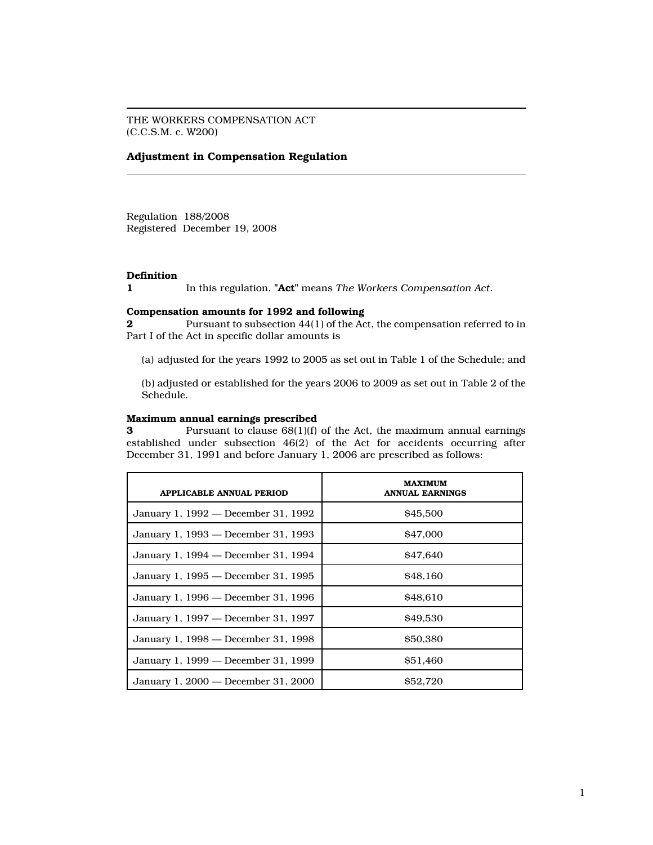THE WORKERS COMPENSATION ACT (C.C.S.M. c. W200)

### Adjustment in Compensation Regulation

Regulation 188/2008 Registered December 19, 2008

## Definition

In this regulation, "Act" means The Workers Compensation Act.

### Compensation amounts for 1992 and following

2 Pursuant to subsection 44(1) of the Act, the compensation referred to in Part I of the Act in specific dollar amounts is

(a) adjusted for the years 1992 to 2005 as set out in Table 1 of the Schedule; and

(b) adjusted or established for the years 2006 to 2009 as set out in Table 2 of the Schedule.

#### Maximum annual earnings prescribed

3 Pursuant to clause 68(1)(f) of the Act, the maximum annual earnings established under subsection 46(2) of the Act for accidents occurring after December 31, 1991 and before January 1, 2006 are prescribed as follows:

| <b>APPLICABLE ANNUAL PERIOD</b>     | <b>MAXIMUM</b><br><b>ANNUAL EARNINGS</b> |
|-------------------------------------|------------------------------------------|
| January 1, 1992 — December 31, 1992 | \$45,500                                 |
| January 1, 1993 — December 31, 1993 | <b>S47,000</b>                           |
| January 1, 1994 — December 31, 1994 | <b>S47.640</b>                           |
| January 1, 1995 — December 31, 1995 | \$48.160                                 |
| January 1, 1996 — December 31, 1996 | \$48.610                                 |
| January 1, 1997 – December 31, 1997 | \$49,530                                 |
| January 1, 1998 — December 31, 1998 | \$50,380                                 |
| January 1, 1999 — December 31, 1999 | \$51,460                                 |
| January 1, 2000 – December 31, 2000 | \$52,720                                 |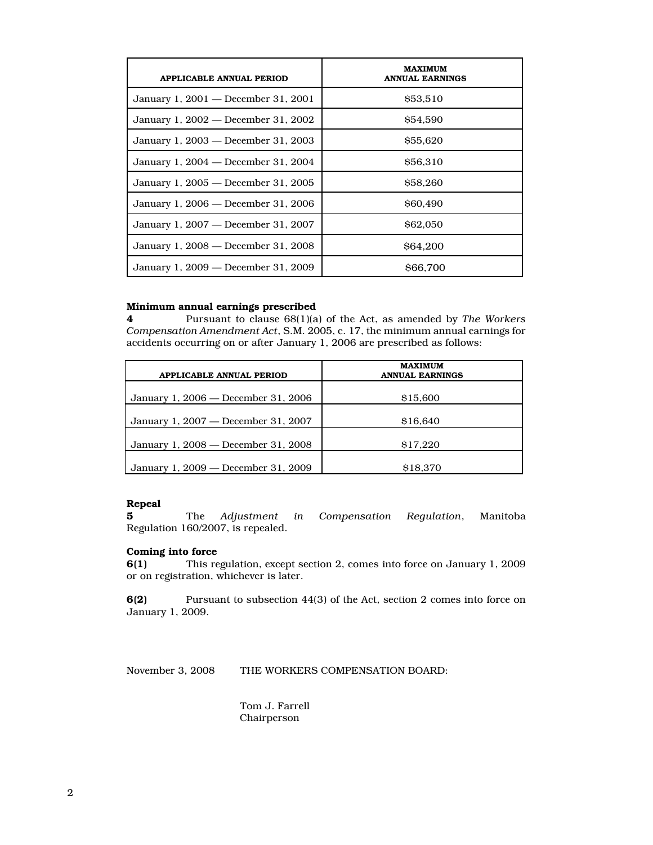| <b>APPLICABLE ANNUAL PERIOD</b>     | <b>MAXIMUM</b><br><b>ANNUAL EARNINGS</b> |
|-------------------------------------|------------------------------------------|
| January 1, 2001 — December 31, 2001 | \$53,510                                 |
| January 1, 2002 — December 31, 2002 | \$54,590                                 |
| January 1, 2003 — December 31, 2003 | \$55,620                                 |
| January 1, 2004 — December 31, 2004 | <b>S56.310</b>                           |
| January 1, 2005 — December 31, 2005 | \$58,260                                 |
| January 1, 2006 — December 31, 2006 | <b>S60.490</b>                           |
| January 1, 2007 — December 31, 2007 | \$62,050                                 |
| January 1, 2008 — December 31, 2008 | <b>S64.200</b>                           |
| January 1, 2009 — December 31, 2009 | \$66,700                                 |

### Minimum annual earnings prescribed

4 Pursuant to clause 68(1)(a) of the Act, as amended by The Workers Compensation Amendment Act, S.M. 2005, c. 17, the minimum annual earnings for accidents occurring on or after January 1, 2006 are prescribed as follows:

| APPLICABLE ANNUAL PERIOD            | <b>MAXIMUM</b><br><b>ANNUAL EARNINGS</b> |
|-------------------------------------|------------------------------------------|
| January 1, 2006 — December 31, 2006 | \$15,600                                 |
| January 1, 2007 — December 31, 2007 | \$16.640                                 |
| January 1, 2008 — December 31, 2008 | \$17,220                                 |
| January 1, 2009 — December 31, 2009 | \$18,370                                 |

# Repeal<br>5

The Adjustment in Compensation Regulation, Manitoba Regulation 160/2007, is repealed.

# **Coming into force**<br>**6(1)** This re

This regulation, except section 2, comes into force on January 1, 2009 or on registration, whichever is later.

6(2) Pursuant to subsection 44(3) of the Act, section 2 comes into force on January 1, 2009.

November 3, 2008 THE WORKERS COMPENSATION BOARD:

Tom J. Farrell Chairperson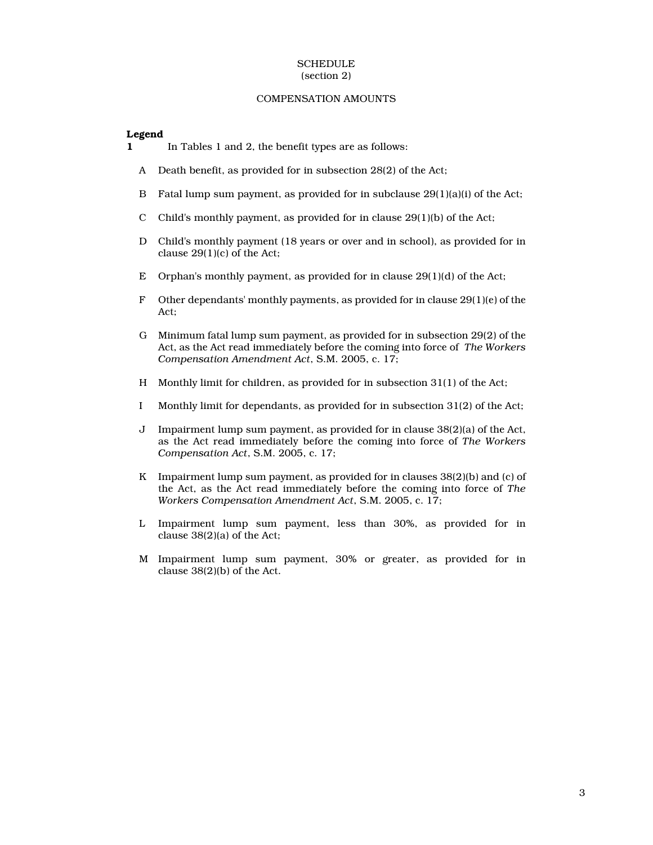#### **SCHEDULE** (section 2)

#### COMPENSATION AMOUNTS

### Legend

- 1 In Tables 1 and 2, the benefit types are as follows:
	- A Death benefit, as provided for in subsection 28(2) of the Act;
	- B Fatal lump sum payment, as provided for in subclause 29(1)(a)(i) of the Act;
	- C Child's monthly payment, as provided for in clause 29(1)(b) of the Act;
	- D Child's monthly payment (18 years or over and in school), as provided for in clause 29(1)(c) of the Act;
	- E Orphan's monthly payment, as provided for in clause 29(1)(d) of the Act;
	- F Other dependants' monthly payments, as provided for in clause 29(1)(e) of the Act;
	- G Minimum fatal lump sum payment, as provided for in subsection 29(2) of the Act, as the Act read immediately before the coming into force of The Workers Compensation Amendment Act, S.M. 2005, c. 17;
	- H Monthly limit for children, as provided for in subsection 31(1) of the Act;
	- I Monthly limit for dependants, as provided for in subsection 31(2) of the Act;
	- J Impairment lump sum payment, as provided for in clause 38(2)(a) of the Act, as the Act read immediately before the coming into force of The Workers Compensation Act, S.M. 2005, c. 17;
	- K Impairment lump sum payment, as provided for in clauses 38(2)(b) and (c) of the Act, as the Act read immediately before the coming into force of The Workers Compensation Amendment Act, S.M. 2005, c. 17;
	- L Impairment lump sum payment, less than 30%, as provided for in clause 38(2)(a) of the Act;
	- M Impairment lump sum payment, 30% or greater, as provided for in clause 38(2)(b) of the Act.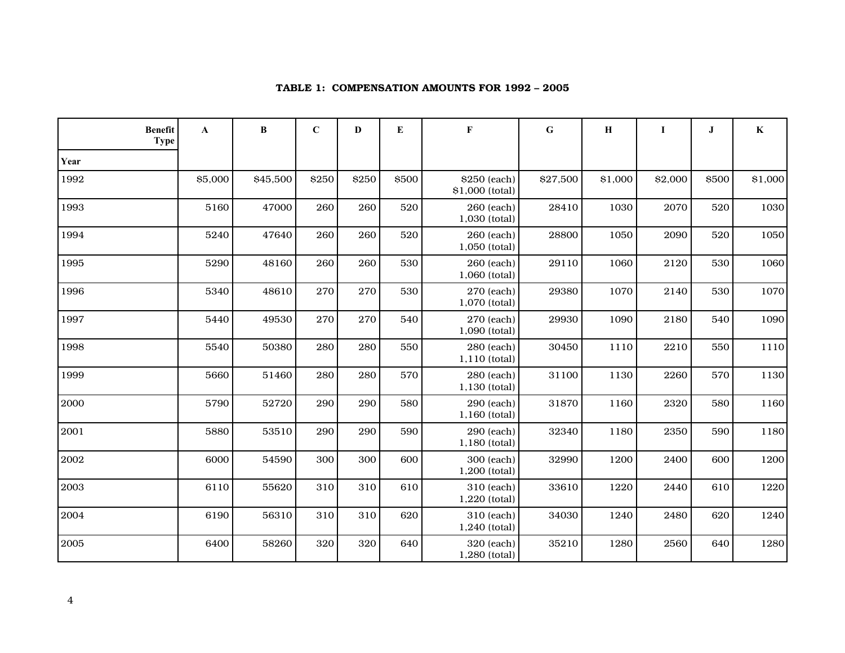| <b>Benefit</b> | $\mathbf{A}$<br><b>Type</b> | B        | $\mathbf C$ | D     | E     | F                               | ${\bf G}$ | $\bf H$ | I       | J     | $\mathbf K$ |
|----------------|-----------------------------|----------|-------------|-------|-------|---------------------------------|-----------|---------|---------|-------|-------------|
| Year           |                             |          |             |       |       |                                 |           |         |         |       |             |
| 1992           | \$5,000                     | \$45,500 | \$250       | \$250 | \$500 | \$250 (each)<br>\$1,000 (total) | \$27,500  | \$1,000 | \$2,000 | \$500 | \$1,000     |
| 1993           | 5160                        | 47000    | 260         | 260   | 520   | 260 (each)<br>1,030 (total)     | 28410     | 1030    | 2070    | 520   | 1030        |
| 1994           | 5240                        | 47640    | 260         | 260   | 520   | 260 (each)<br>1,050 (total)     | 28800     | 1050    | 2090    | 520   | 1050        |
| 1995           | 5290                        | 48160    | 260         | 260   | 530   | 260 (each)<br>1,060 (total)     | 29110     | 1060    | 2120    | 530   | 1060        |
| 1996           | 5340                        | 48610    | 270         | 270   | 530   | 270 (each)<br>1,070 (total)     | 29380     | 1070    | 2140    | 530   | 1070        |
| 1997           | 5440                        | 49530    | 270         | 270   | 540   | 270 (each)<br>1,090 (total)     | 29930     | 1090    | 2180    | 540   | 1090        |
| 1998           | 5540                        | 50380    | 280         | 280   | 550   | 280 (each)<br>1,110 (total)     | 30450     | 1110    | 2210    | 550   | 1110        |
| 1999           | 5660                        | 51460    | 280         | 280   | 570   | 280 (each)<br>1,130 (total)     | 31100     | 1130    | 2260    | 570   | 1130        |
| 2000           | 5790                        | 52720    | 290         | 290   | 580   | 290 (each)<br>$1,160$ (total)   | 31870     | 1160    | 2320    | 580   | 1160        |
| 2001           | 5880                        | 53510    | 290         | 290   | 590   | 290 (each)<br>1,180 (total)     | 32340     | 1180    | 2350    | 590   | 1180        |
| 2002           | 6000                        | 54590    | 300         | 300   | 600   | 300 (each)<br>1,200 (total)     | 32990     | 1200    | 2400    | 600   | 1200        |
| 2003           | 6110                        | 55620    | 310         | 310   | 610   | 310 (each)<br>1,220 (total)     | 33610     | 1220    | 2440    | 610   | 1220        |
| 2004           | 6190                        | 56310    | 310         | 310   | 620   | 310 (each)<br>1,240 (total)     | 34030     | 1240    | 2480    | 620   | 1240        |
| 2005           | 6400                        | 58260    | 320         | 320   | 640   | 320 (each)<br>1,280 (total)     | 35210     | 1280    | 2560    | 640   | 1280        |

## TABLE 1: COMPENSATION AMOUNTS FOR 1992 – 2005